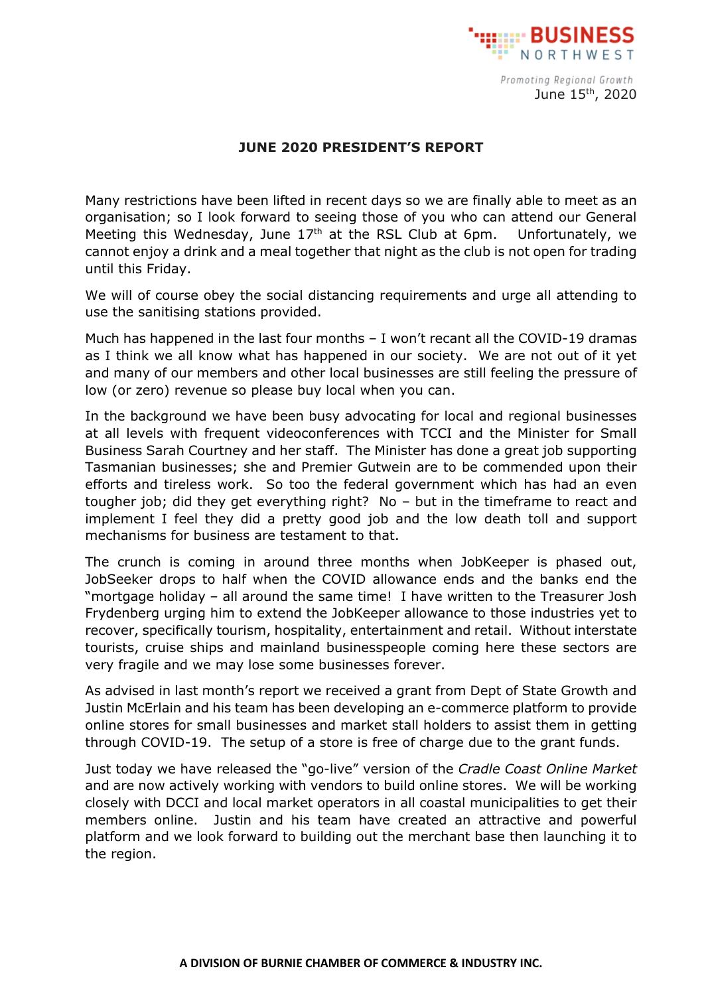

Promoting Regional Growth June 15th, 2020

## **JUNE 2020 PRESIDENT'S REPORT**

Many restrictions have been lifted in recent days so we are finally able to meet as an organisation; so I look forward to seeing those of you who can attend our General Meeting this Wednesday, June  $17<sup>th</sup>$  at the RSL Club at 6pm. Unfortunately, we cannot enjoy a drink and a meal together that night as the club is not open for trading until this Friday.

We will of course obey the social distancing requirements and urge all attending to use the sanitising stations provided.

Much has happened in the last four months – I won't recant all the COVID-19 dramas as I think we all know what has happened in our society. We are not out of it yet and many of our members and other local businesses are still feeling the pressure of low (or zero) revenue so please buy local when you can.

In the background we have been busy advocating for local and regional businesses at all levels with frequent videoconferences with TCCI and the Minister for Small Business Sarah Courtney and her staff. The Minister has done a great job supporting Tasmanian businesses; she and Premier Gutwein are to be commended upon their efforts and tireless work. So too the federal government which has had an even tougher job; did they get everything right? No – but in the timeframe to react and implement I feel they did a pretty good job and the low death toll and support mechanisms for business are testament to that.

The crunch is coming in around three months when JobKeeper is phased out, JobSeeker drops to half when the COVID allowance ends and the banks end the "mortgage holiday – all around the same time! I have written to the Treasurer Josh Frydenberg urging him to extend the JobKeeper allowance to those industries yet to recover, specifically tourism, hospitality, entertainment and retail. Without interstate tourists, cruise ships and mainland businesspeople coming here these sectors are very fragile and we may lose some businesses forever.

As advised in last month's report we received a grant from Dept of State Growth and Justin McErlain and his team has been developing an e-commerce platform to provide online stores for small businesses and market stall holders to assist them in getting through COVID-19. The setup of a store is free of charge due to the grant funds.

Just today we have released the "go-live" version of the *Cradle Coast Online Market* and are now actively working with vendors to build online stores. We will be working closely with DCCI and local market operators in all coastal municipalities to get their members online. Justin and his team have created an attractive and powerful platform and we look forward to building out the merchant base then launching it to the region.